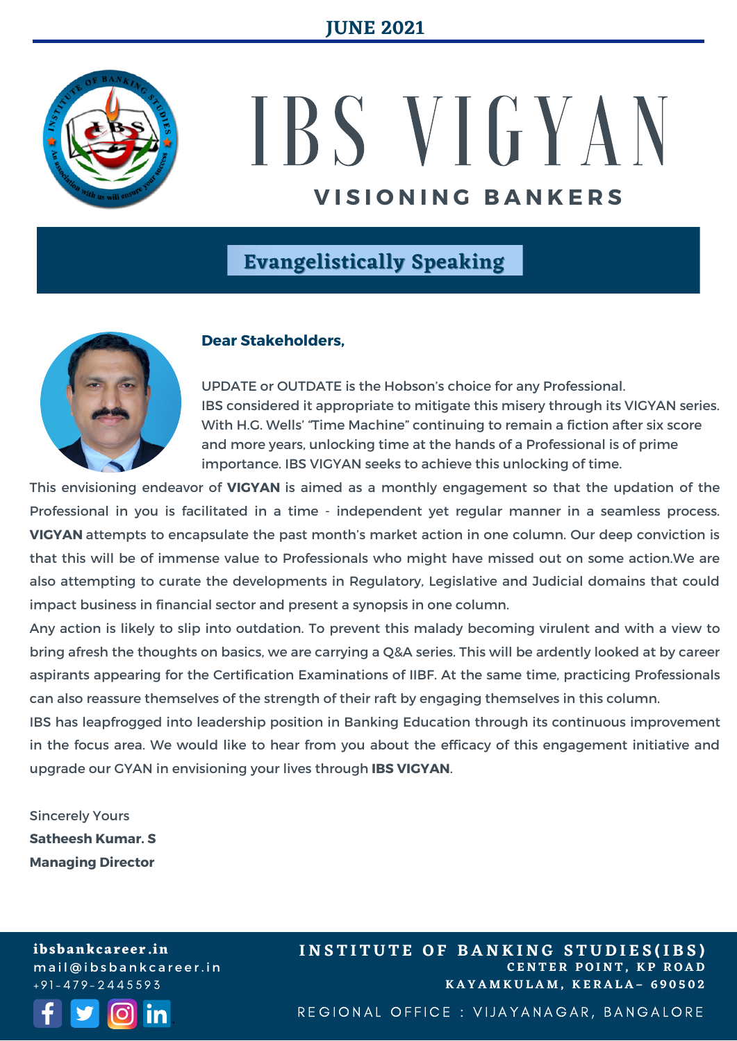

# IBS V I G Y A N **V I S I O N I N G B A N K E R S**

## **Evangelistically Speaking**



#### **Dear Stakeholders,**

UPDATE or OUTDATE is the Hobson's choice for any Professional. IBS considered it appropriate to mitigate this misery through its VIGYAN series. With H.G. Wells' "Time Machine" continuing to remain a fiction after six score and more years, unlocking time at the hands of a Professional is of prime importance. IBS VIGYAN seeks to achieve this unlocking of time.

This envisioning endeavor of **VIGYAN** is aimed as a monthly engagement so that the updation of the Professional in you is facilitated in a time - independent yet regular manner in a seamless process. **VIGYAN** attempts to encapsulate the past month's market action in one column. Our deep conviction is that this will be of immense value to Professionals who might have missed out on some action.We are also attempting to curate the developments in Regulatory, Legislative and Judicial domains that could impact business in financial sector and present a synopsis in one column.

Any action is likely to slip into outdation. To prevent this malady becoming virulent and with a view to bring afresh the thoughts on basics, we are carrying a Q&A series. This will be ardently looked at by career aspirants appearing for the Certification Examinations of IIBF. At the same time, practicing Professionals can also reassure themselves of the strength of their raft by engaging themselves in this column.

IBS has leapfrogged into leadership position in Banking Education through its continuous improvement in the focus area. We would like to hear from you about the efficacy of this engagement initiative and upgrade our GYAN in envisioning your lives through **IBS VIGYAN**.

Sincerely Yours **Satheesh Kumar. S Managing Director**

**ibsbankcareer.in** m a i l @ i b s b a n k c a r e e r. i n  $+91 - 479 - 2445593$ 



**C E N T E R P O I N T , K P R O A D K A Y A M K U L A M , K E R A L A – 6 9 0 5 0 2 INSTITUTE OF BANKING STUDIES(IBS)** 

REGIONAL OFFICE : VIJAYANAGAR, BANGALORE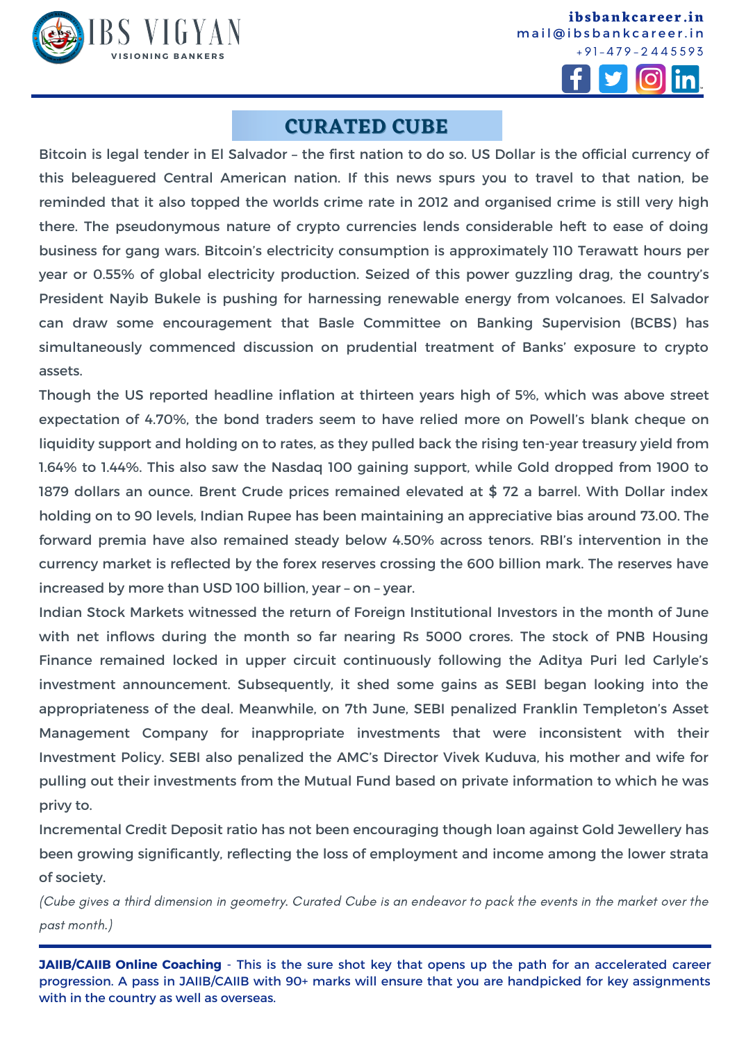

**ibsbankcareer.in** mail@ibsbankcareer.in  $+91 - 479 - 2445593$ 



#### **CURATED CUBE**

Bitcoin is legal tender in El Salvador – the first nation to do so. US Dollar is the official currency of this beleaguered Central American nation. If this news spurs you to travel to that nation, be reminded that it also topped the worlds crime rate in 2012 and organised crime is still very high there. The pseudonymous nature of crypto currencies lends considerable heft to ease of doing business for gang wars. Bitcoin's electricity consumption is approximately 110 Terawatt hours per year or 0.55% of global electricity production. Seized of this power guzzling drag, the country's President Nayib Bukele is pushing for harnessing renewable energy from volcanoes. El Salvador can draw some encouragement that Basle Committee on Banking Supervision (BCBS) has simultaneously commenced discussion on prudential treatment of Banks' exposure to crypto assets.

Though the US reported headline inflation at thirteen years high of 5%, which was above street expectation of 4.70%, the bond traders seem to have relied more on Powell's blank cheque on liquidity support and holding on to rates, as they pulled back the rising ten-year treasury yield from 1.64% to 1.44%. This also saw the Nasdaq 100 gaining support, while Gold dropped from 1900 to 1879 dollars an ounce. Brent Crude prices remained elevated at \$ 72 a barrel. With Dollar index holding on to 90 levels, Indian Rupee has been maintaining an appreciative bias around 73.00. The forward premia have also remained steady below 4.50% across tenors. RBI's intervention in the currency market is reflected by the forex reserves crossing the 600 billion mark. The reserves have increased by more than USD 100 billion, year – on – year.

Indian Stock Markets witnessed the return of Foreign Institutional Investors in the month of June with net inflows during the month so far nearing Rs 5000 crores. The stock of PNB Housing Finance remained locked in upper circuit continuously following the Aditya Puri led Carlyle's investment announcement. Subsequently, it shed some gains as SEBI began looking into the appropriateness of the deal. Meanwhile, on 7th June, SEBI penalized Franklin Templeton's Asset Management Company for inappropriate investments that were inconsistent with their Investment Policy. SEBI also penalized the AMC's Director Vivek Kuduva, his mother and wife for pulling out their investments from the Mutual Fund based on private information to which he was privy to.

Incremental Credit Deposit ratio has not been encouraging though loan against Gold Jewellery has been growing significantly, reflecting the loss of employment and income among the lower strata of society.

(Cube gives a third dimension in geometry. Curated Cube is an endeavor to pack the events in the market over the past month.)

**JAIIB/CAIIB Online Coaching** - This is the sure shot key that opens up the path for an accelerated career progression. A pass in [JAIIB/CAIIB](https://ibsbankcareer.in/course/) with 90+ marks will ensure that you are handpicked for key assignments with in the country as well as overseas.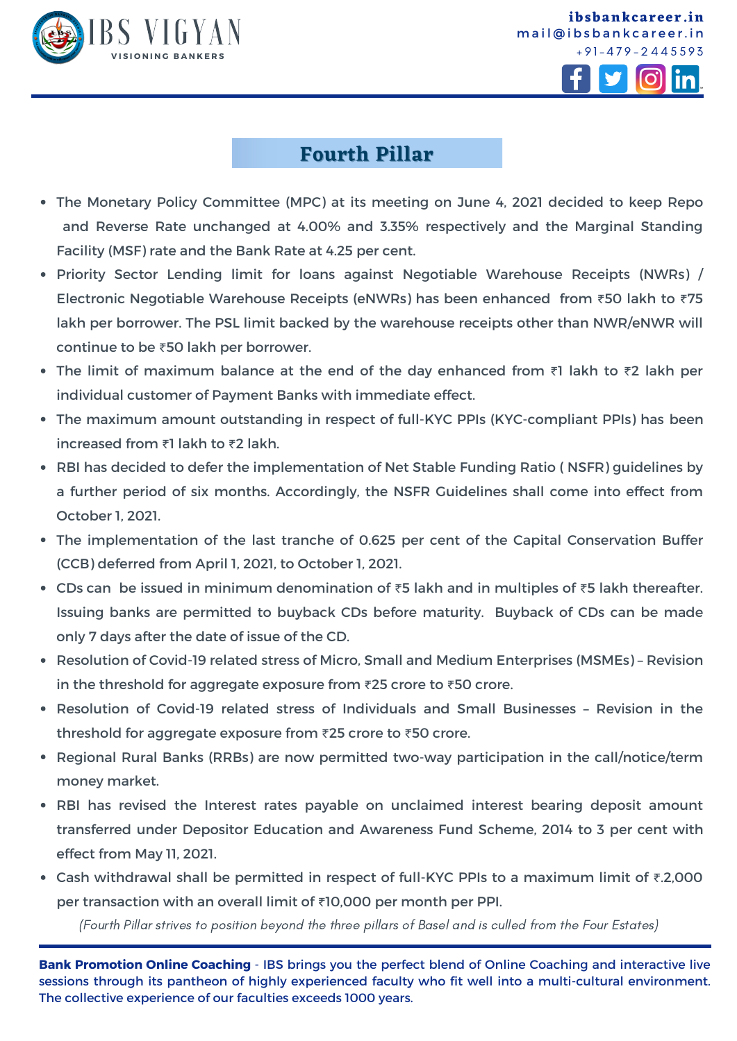





**ibsbankcareer.in**

### **Fourth Pillar**

- The Monetary Policy Committee (MPC) at its meeting on June 4, 2021 decided to keep Repo and Reverse Rate unchanged at 4.00% and 3.35% respectively and the Marginal Standing Facility (MSF) rate and the Bank Rate at 4.25 per cent.
- Priority Sector Lending limit for loans against Negotiable Warehouse Receipts (NWRs) / Electronic Negotiable Warehouse Receipts (eNWRs) has been enhanced from ₹50 lakh to ₹75 lakh per borrower. The PSL limit backed by the warehouse receipts other than NWR/eNWR will continue to be ₹50 lakh per borrower.
- The limit of maximum balance at the end of the day enhanced from ₹1 lakh to ₹2 lakh per individual customer of Payment Banks with immediate effect.
- The maximum amount outstanding in respect of full-KYC PPIs (KYC-compliant PPIs) has been increased from ₹1 lakh to ₹2 lakh.
- RBI has decided to defer the implementation of Net Stable Funding Ratio ( NSFR) guidelines by a further period of six months. Accordingly, the NSFR Guidelines shall come into effect from October 1, 2021.
- The implementation of the last tranche of 0.625 per cent of the Capital Conservation Buffer (CCB) deferred from April 1, 2021, to October 1, 2021.
- CDs can be issued in minimum denomination of ₹5 lakh and in multiples of ₹5 lakh thereafter. Issuing banks are permitted to buyback CDs before maturity. Buyback of CDs can be made only 7 days after the date of issue of the CD.
- Resolution of Covid-19 related stress of Micro, Small and Medium Enterprises (MSMEs) Revision in the threshold for aggregate exposure from ₹25 crore to ₹50 crore.
- Resolution of Covid-19 related stress of Individuals and Small Businesses Revision in the threshold for aggregate exposure from ₹25 crore to ₹50 crore.
- Regional Rural Banks (RRBs) are now permitted two-way participation in the call/notice/term money market.
- RBI has revised the Interest rates payable on unclaimed interest bearing deposit amount transferred under Depositor Education and Awareness Fund Scheme, 2014 to 3 per cent with effect from May 11, 2021.
- Cash withdrawal shall be permitted in respect of full-KYC PPIs to a maximum limit of ₹.2,000 per transaction with an overall limit of ₹10,000 per month per PPI.

(Fourth Pillar strives to position beyond the three pillars of Basel and is culled from the Four Estates)

**Bank Promotion Online Coaching** - IBS brings you the perfect blend of Online Coaching and interactive live sessions through its pantheon of highly experienced faculty who fit well into a multi-cultural environment. The collective experience of our faculties exceeds 1000 years.